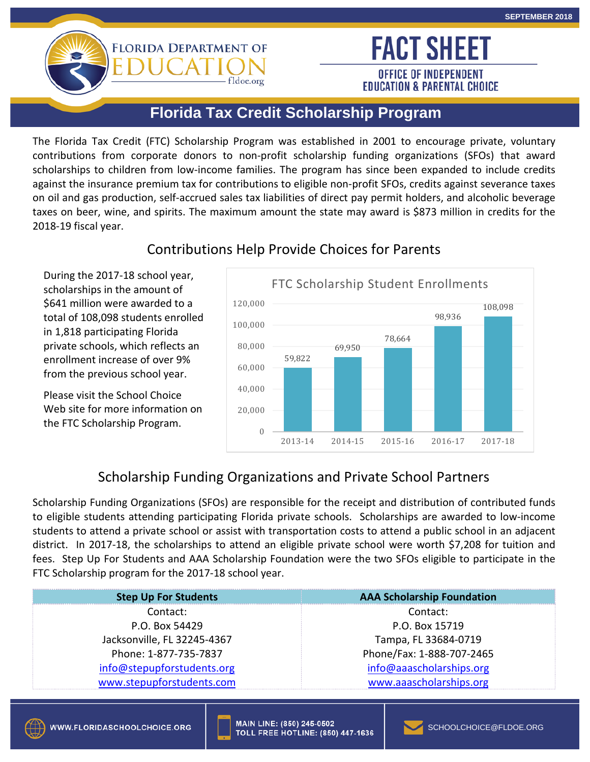# **FLORIDA DEPARTMENT OF**

**OFFICE OF INDEPENDENT EDUCATION & PARENTAL CHOICE** 

**FACT SHEET** 

## **Florida Tax Credit Scholarship Program**

fldoe.org

 The Florida Tax Credit (FTC) Scholarship Program was established in 2001 to encourage private, voluntary against the insurance premium tax for contributions to eligible non-profit SFOs, credits against severance taxes on oil and gas production, self-accrued sales tax liabilities of direct pay permit holders, and alcoholic beverage 2018-19 fiscal year. contributions from corporate donors to non-profit scholarship funding organizations (SFOs) that award scholarships to children from low-income families. The program has since been expanded to include credits taxes on beer, wine, and spirits. The maximum amount the state may award is \$873 million in credits for the



### Contributions Help Provide Choices for Parents

#### Scholarship Funding Organizations and Private School Partners

 Scholarship Funding Organizations (SFOs) are responsible for the receipt and distribution of contributed funds students to attend a private school or assist with transportation costs to attend a public school in an adjacent district. In 2017-18, the scholarships to attend an eligible private school were worth \$7,208 for tuition and to eligible students attending participating Florida private schools. Scholarships are awarded to low-income fees. Step Up For Students and AAA Scholarship Foundation were the two SFOs eligible to participate in the FTC Scholarship program for the 2017-18 school year.

| <b>AAA Scholarship Foundation</b> |
|-----------------------------------|
| Contact:                          |
| P.O. Box 15719                    |
| Tampa, FL 33684-0719              |
| Phone/Fax: 1-888-707-2465         |
| info@aaascholarships.org          |
| www.aaascholarships.org           |
|                                   |



in 1,818 participating Florida

the FTC Scholarship Program.